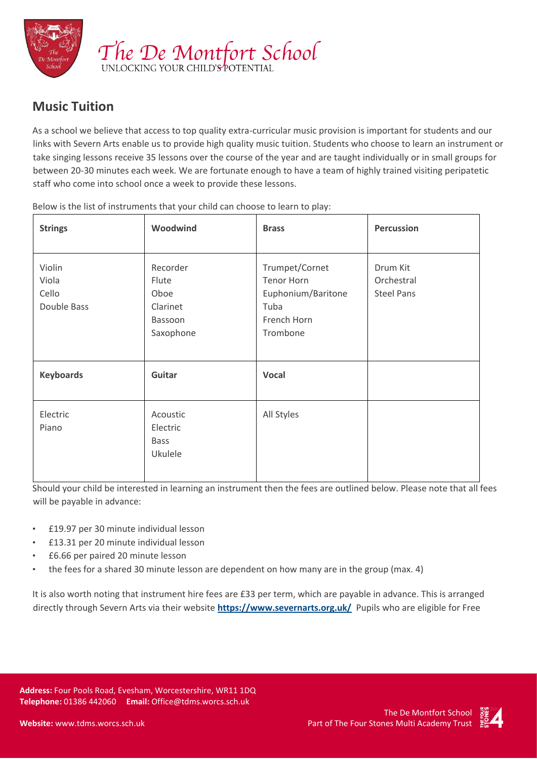

## **Music Tuition**

As a school we believe that access to top quality extra-curricular music provision is important for students and our links with Severn Arts enable us to provide high quality music tuition. Students who choose to learn an instrument or take singing lessons receive 35 lessons over the course of the year and are taught individually or in small groups for between 20-30 minutes each week. We are fortunate enough to have a team of highly trained visiting peripatetic staff who come into school once a week to provide these lessons.

| <b>Strings</b>                          | Woodwind                                                      | <b>Brass</b>                                                                                 | <b>Percussion</b>                           |
|-----------------------------------------|---------------------------------------------------------------|----------------------------------------------------------------------------------------------|---------------------------------------------|
| Violin<br>Viola<br>Cello<br>Double Bass | Recorder<br>Flute<br>Oboe<br>Clarinet<br>Bassoon<br>Saxophone | Trumpet/Cornet<br><b>Tenor Horn</b><br>Euphonium/Baritone<br>Tuba<br>French Horn<br>Trombone | Drum Kit<br>Orchestral<br><b>Steel Pans</b> |
| <b>Keyboards</b>                        | Guitar                                                        | <b>Vocal</b>                                                                                 |                                             |
| Electric<br>Piano                       | Acoustic<br>Electric<br><b>Bass</b><br>Ukulele                | All Styles                                                                                   |                                             |

Below is the list of instruments that your child can choose to learn to play:

Should your child be interested in learning an instrument then the fees are outlined below. Please note that all fees will be payable in advance:

- £19.97 per 30 minute individual lesson
- £13.31 per 20 minute individual lesson
- £6.66 per paired 20 minute lesson
- the fees for a shared 30 minute lesson are dependent on how many are in the group (max. 4)

It is also worth noting that instrument hire fees are £33 per term, which are payable in advance. This is arranged directly through Severn Arts via their websit[e](https://www.severnarts.org.uk/) **<https://www.severnarts.org.uk/>** Pupils who are eligible for Free